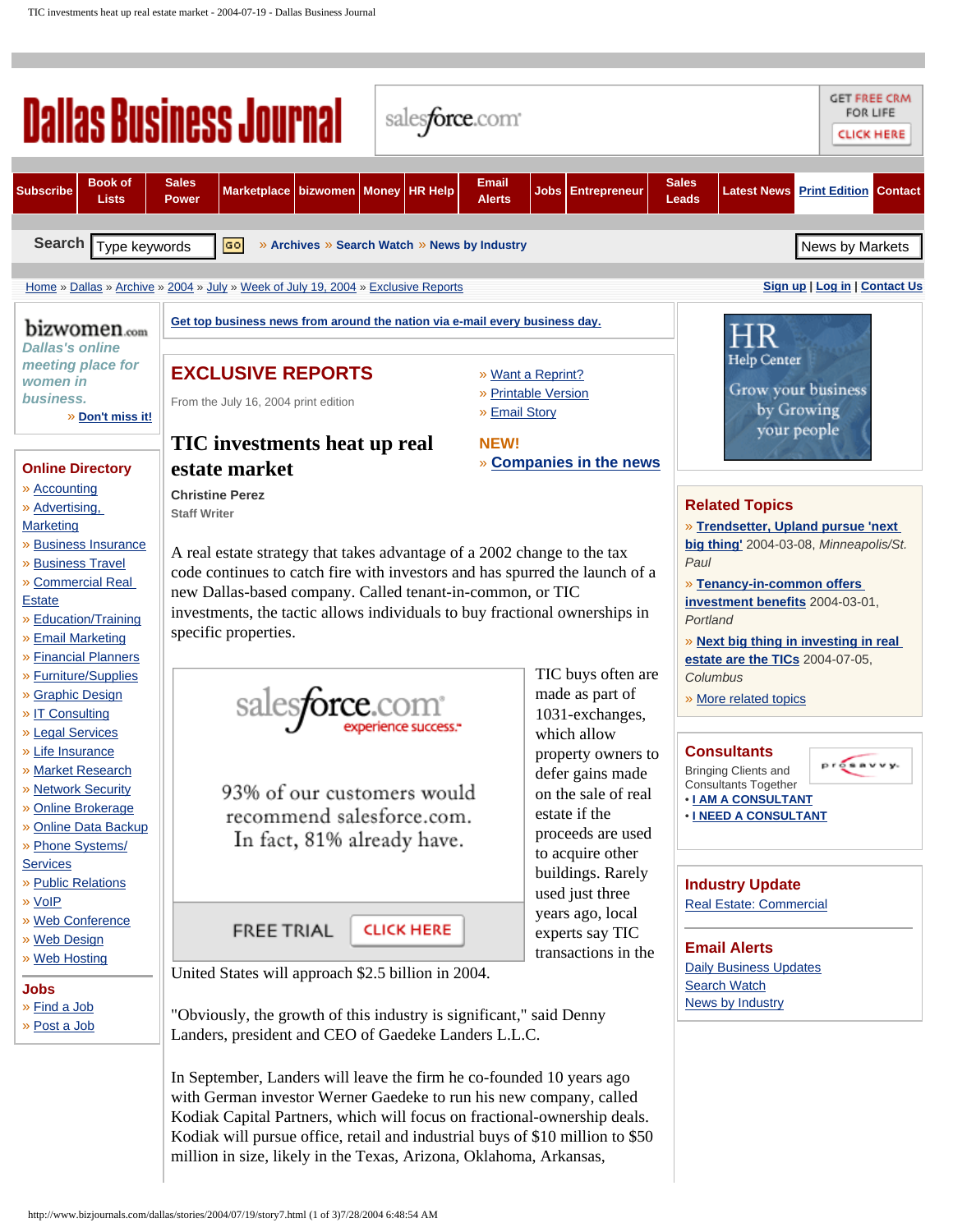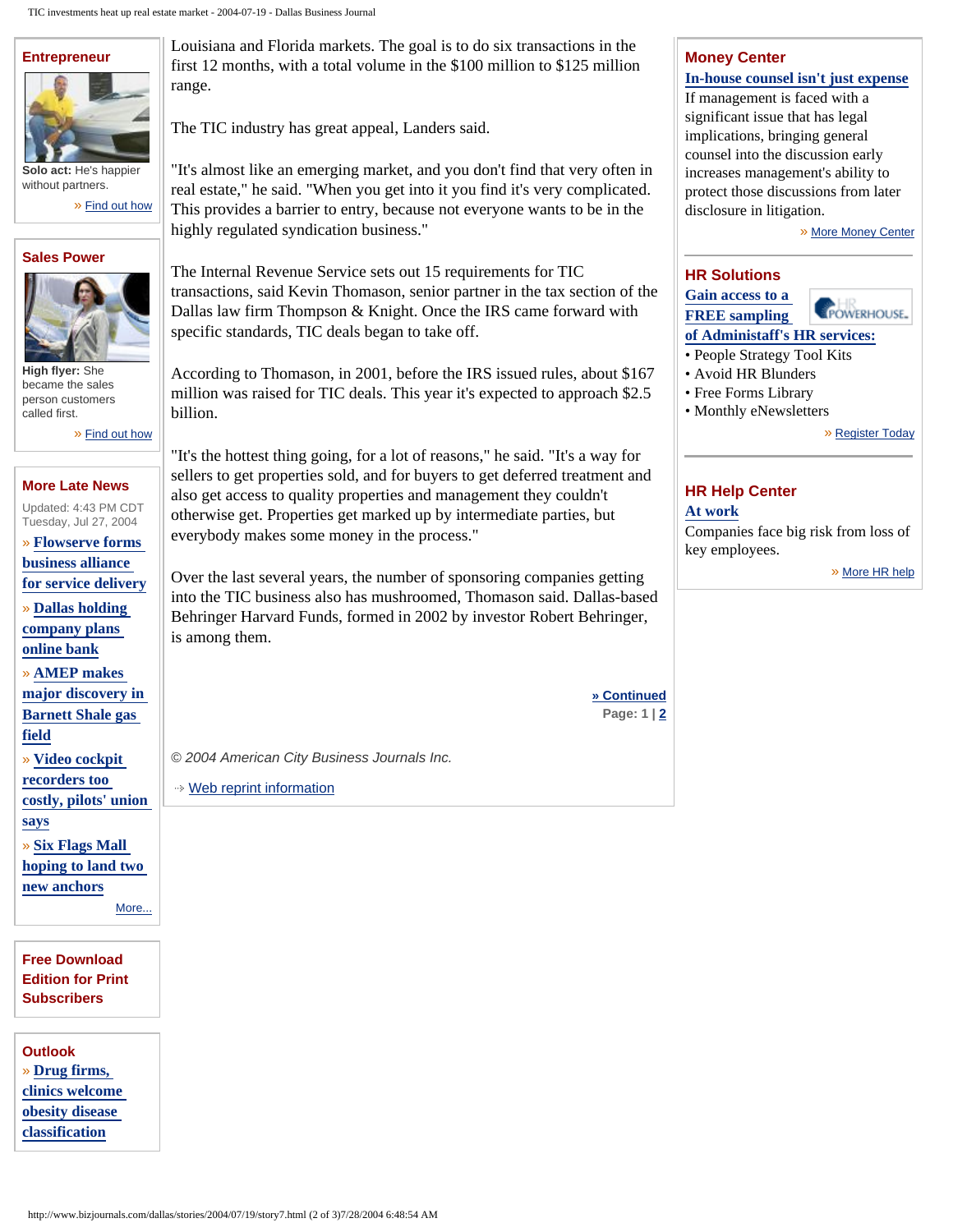## **[Entrepreneur](http://www.bizjournals.com/dallas/entrepreneur/?jst=s_ep_lk)**



**Solo act:** He's happier without partners.

» [Find out how](http://www.bizjournals.com/dallas/entrepreneur/?jst=s_ep_lk)

#### **[Sales Power](http://www.bizjournals.com/dallas/salespower/?jst=s_ep_lk)**



**High flyer:** She became the sales person customers called first.

» [Find out how](http://www.bizjournals.com/dallas/salespower/?jst=s_ep_lk)

### **[More Late News](http://www.bizjournals.com/dallas/stories/2004/07/26/daily.html?jst=m_ln_hl)**

Updated: 4:43 PM CDT Tuesday, Jul 27, 2004

» **[Flowserve forms](http://www.bizjournals.com/dallas/stories/2004/07/26/daily19.html?jst=m_ln_hl)  [business alliance](http://www.bizjournals.com/dallas/stories/2004/07/26/daily19.html?jst=m_ln_hl)  [for service delivery](http://www.bizjournals.com/dallas/stories/2004/07/26/daily19.html?jst=m_ln_hl)**

» **[Dallas holding](http://www.bizjournals.com/dallas/stories/2004/07/26/daily18.html?jst=m_ln_hl)** 

**[company plans](http://www.bizjournals.com/dallas/stories/2004/07/26/daily18.html?jst=m_ln_hl) [online bank](http://www.bizjournals.com/dallas/stories/2004/07/26/daily18.html?jst=m_ln_hl)**

» **[AMEP makes](http://www.bizjournals.com/dallas/stories/2004/07/26/daily17.html?jst=m_ln_hl)  [major discovery in](http://www.bizjournals.com/dallas/stories/2004/07/26/daily17.html?jst=m_ln_hl)  [Barnett Shale gas](http://www.bizjournals.com/dallas/stories/2004/07/26/daily17.html?jst=m_ln_hl)  [field](http://www.bizjournals.com/dallas/stories/2004/07/26/daily17.html?jst=m_ln_hl)**

» **[Video cockpit](http://www.bizjournals.com/dallas/stories/2004/07/26/daily15.html?jst=m_ln_hl)** 

**[recorders too](http://www.bizjournals.com/dallas/stories/2004/07/26/daily15.html?jst=m_ln_hl)  [costly, pilots' union](http://www.bizjournals.com/dallas/stories/2004/07/26/daily15.html?jst=m_ln_hl) [says](http://www.bizjournals.com/dallas/stories/2004/07/26/daily15.html?jst=m_ln_hl)**

» **[Six Flags Mall](http://www.bizjournals.com/dallas/stories/2004/07/26/daily14.html?jst=m_ln_hl) [hoping to land two](http://www.bizjournals.com/dallas/stories/2004/07/26/daily14.html?jst=m_ln_hl) [new anchors](http://www.bizjournals.com/dallas/stories/2004/07/26/daily14.html?jst=m_ln_hl)** [More...](http://www.bizjournals.com/dallas/stories/2004/07/26/daily.html?jst=m_ln_hl)

**[Free Download](http://www.bizjournals.com/subscriber_services/electronic_edition/?t=dallas) [Edition for Print](http://www.bizjournals.com/subscriber_services/electronic_edition/?t=dallas)  [Subscribers](http://www.bizjournals.com/subscriber_services/electronic_edition/?t=dallas)**

**Outlook** » **[Drug firms,](http://www.bizjournals.com/bizoutlook/?jst=m_ol_hl)  [clinics welcome](http://www.bizjournals.com/bizoutlook/?jst=m_ol_hl)  [obesity disease](http://www.bizjournals.com/bizoutlook/?jst=m_ol_hl) [classification](http://www.bizjournals.com/bizoutlook/?jst=m_ol_hl)**

Louisiana and Florida markets. The goal is to do six transactions in the first 12 months, with a total volume in the \$100 million to \$125 million range.

The TIC industry has great appeal, Landers said.

"It's almost like an emerging market, and you don't find that very often in real estate," he said. "When you get into it you find it's very complicated. This provides a barrier to entry, because not everyone wants to be in the highly regulated syndication business."

The Internal Revenue Service sets out 15 requirements for TIC transactions, said Kevin Thomason, senior partner in the tax section of the Dallas law firm Thompson & Knight. Once the IRS came forward with specific standards, TIC deals began to take off.

According to Thomason, in 2001, before the IRS issued rules, about \$167 million was raised for TIC deals. This year it's expected to approach \$2.5 billion.

"It's the hottest thing going, for a lot of reasons," he said. "It's a way for sellers to get properties sold, and for buyers to get deferred treatment and also get access to quality properties and management they couldn't otherwise get. Properties get marked up by intermediate parties, but everybody makes some money in the process."

Over the last several years, the number of sponsoring companies getting into the TIC business also has mushroomed, Thomason said. Dallas-based Behringer Harvard Funds, formed in 2002 by investor Robert Behringer, is among them.

**[» Continued](http://www.bizjournals.com/dallas/stories/2004/07/19/story7.html?page=2)**

*© 2004 American City Business Journals Inc.*

[Web reprint information](http://www.bizjournals.com/scoop/reprints_article.html?story_id=968297)

# **[Money Center](http://www.bizjournals.com/dallas/moneycenter/?jst=m_mc_lk)**

# **[In-house counsel isn't just expense](http://www.bizjournals.com/dallas/moneycenter/story.html?id=3096&jst=m_mc_hl)**

If management is faced with a significant issue that has legal implications, bringing general counsel into the discussion early increases management's ability to protect those discussions from later disclosure in litigation.

» [More Money Center](http://www.bizjournals.com/dallas/moneycenter/?jst=m_mc_lk)

#### **[HR Solutions](http://dc.bizjournals.com/event.ng/Type=click&FlightID=5793&AdID=7902&TargetID=892&Segments=1,11,965,988,1398&Targets=42,874,892,1278&Values=25,31,43,51,60,72,83,91,100,110,150,155,202,288,328,565,702,736,775,830,872,916,949,959,960,961,962,980,994,996,997,1009,1043&RawValues=GEOMAJORMETRO%2Cminneapolis%2CST_VERT_TOPIC%2Creal_estate__commercial&Redirect=http://www.administaff.com/hr_powerhouse/sample_services.asp?pid=1100)**

#### **[Gain access to a](http://dc.bizjournals.com/event.ng/Type=click&FlightID=5793&AdID=7902&TargetID=892&Segments=1,11,965,988,1398&Targets=42,874,892,1278&Values=25,31,43,51,60,72,83,91,100,110,150,155,202,288,328,565,702,736,775,830,872,916,949,959,960,961,962,980,994,996,997,1009,1043&RawValues=GEOMAJORMETRO%2Cminneapolis%2CST_VERT_TOPIC%2Creal_estate__commercial&Redirect=http://www.administaff.com/hr_powerhouse/sample_services.asp?pid=1100)  [FREE sampling](http://dc.bizjournals.com/event.ng/Type=click&FlightID=5793&AdID=7902&TargetID=892&Segments=1,11,965,988,1398&Targets=42,874,892,1278&Values=25,31,43,51,60,72,83,91,100,110,150,155,202,288,328,565,702,736,775,830,872,916,949,959,960,961,962,980,994,996,997,1009,1043&RawValues=GEOMAJORMETRO%2Cminneapolis%2CST_VERT_TOPIC%2Creal_estate__commercial&Redirect=http://www.administaff.com/hr_powerhouse/sample_services.asp?pid=1100)**



**[of Administaff's HR services:](http://dc.bizjournals.com/event.ng/Type=click&FlightID=5793&AdID=7902&TargetID=892&Segments=1,11,965,988,1398&Targets=42,874,892,1278&Values=25,31,43,51,60,72,83,91,100,110,150,155,202,288,328,565,702,736,775,830,872,916,949,959,960,961,962,980,994,996,997,1009,1043&RawValues=GEOMAJORMETRO%2Cminneapolis%2CST_VERT_TOPIC%2Creal_estate__commercial&Redirect=http://www.administaff.com/hr_powerhouse/sample_services.asp?pid=1100)**

- People Strategy Tool Kits
- Avoid HR Blunders
- Free Forms Library
- Monthly eNewsletters

» [Register Today](http://dc.bizjournals.com/event.ng/Type=click&FlightID=5793&AdID=7902&TargetID=892&Segments=1,11,965,988,1398&Targets=42,874,892,1278&Values=25,31,43,51,60,72,83,91,100,110,150,155,202,288,328,565,702,736,775,830,872,916,949,959,960,961,962,980,994,996,997,1009,1043&RawValues=GEOMAJORMETRO%2Cminneapolis%2CST_VERT_TOPIC%2Creal_estate__commercial&Redirect=http://www.administaff.com/hr_powerhouse/sample_services.asp?pid=1100)

# **[HR Help Center](http://www.bizjournals.com/dallas/hr_center/?jst=m_br_lk)**

## **[At work](http://www.bizjournals.com/dallas/hr_center/?jst=m_br_hl)**

Companies face big risk from loss of key employees.

» [More HR help](http://www.bizjournals.com/dallas/hr_center/?jst=m_br_lk)

**Page: 1 | [2](http://www.bizjournals.com/dallas/stories/2004/07/19/story7.html?page=2)**